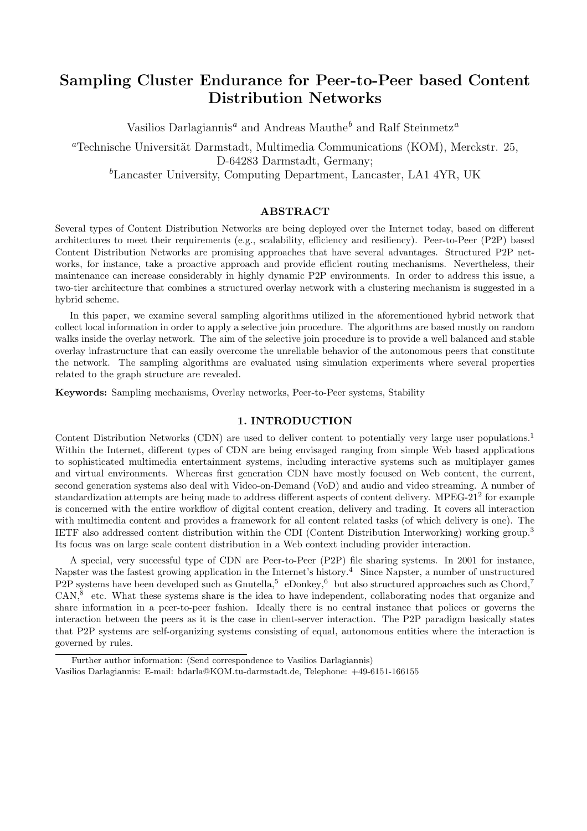# Sampling Cluster Endurance for Peer-to-Peer based Content Distribution Networks

Vasilios Darlagiannis<sup>a</sup> and Andreas Mauthe<sup>b</sup> and Ralf Steinmetz<sup>a</sup>

<sup>a</sup>Technische Universität Darmstadt, Multimedia Communications (KOM), Merckstr. 25, D-64283 Darmstadt, Germany;  ${}^b$ Lancaster University, Computing Department, Lancaster, LA1 4YR, UK

# ABSTRACT

Several types of Content Distribution Networks are being deployed over the Internet today, based on different architectures to meet their requirements (e.g., scalability, efficiency and resiliency). Peer-to-Peer (P2P) based Content Distribution Networks are promising approaches that have several advantages. Structured P2P networks, for instance, take a proactive approach and provide efficient routing mechanisms. Nevertheless, their maintenance can increase considerably in highly dynamic P2P environments. In order to address this issue, a two-tier architecture that combines a structured overlay network with a clustering mechanism is suggested in a hybrid scheme.

In this paper, we examine several sampling algorithms utilized in the aforementioned hybrid network that collect local information in order to apply a selective join procedure. The algorithms are based mostly on random walks inside the overlay network. The aim of the selective join procedure is to provide a well balanced and stable overlay infrastructure that can easily overcome the unreliable behavior of the autonomous peers that constitute the network. The sampling algorithms are evaluated using simulation experiments where several properties related to the graph structure are revealed.

Keywords: Sampling mechanisms, Overlay networks, Peer-to-Peer systems, Stability

## 1. INTRODUCTION

Content Distribution Networks (CDN) are used to deliver content to potentially very large user populations.<sup>1</sup> Within the Internet, different types of CDN are being envisaged ranging from simple Web based applications to sophisticated multimedia entertainment systems, including interactive systems such as multiplayer games and virtual environments. Whereas first generation CDN have mostly focused on Web content, the current, second generation systems also deal with Video-on-Demand (VoD) and audio and video streaming. A number of standardization attempts are being made to address different aspects of content delivery. MPEG-21<sup>2</sup> for example is concerned with the entire workflow of digital content creation, delivery and trading. It covers all interaction with multimedia content and provides a framework for all content related tasks (of which delivery is one). The IETF also addressed content distribution within the CDI (Content Distribution Interworking) working group.<sup>3</sup> Its focus was on large scale content distribution in a Web context including provider interaction.

A special, very successful type of CDN are Peer-to-Peer (P2P) file sharing systems. In 2001 for instance, Napster was the fastest growing application in the Internet's history.<sup>4</sup> Since Napster, a number of unstructured P2P systems have been developed such as Gnutella,<sup>5</sup> eDonkey,<sup>6</sup> but also structured approaches such as Chord,<sup>7</sup> CAN,<sup>8</sup> etc. What these systems share is the idea to have independent, collaborating nodes that organize and share information in a peer-to-peer fashion. Ideally there is no central instance that polices or governs the interaction between the peers as it is the case in client-server interaction. The P2P paradigm basically states that P2P systems are self-organizing systems consisting of equal, autonomous entities where the interaction is governed by rules.

Further author information: (Send correspondence to Vasilios Darlagiannis)

Vasilios Darlagiannis: E-mail: bdarla@KOM.tu-darmstadt.de, Telephone: +49-6151-166155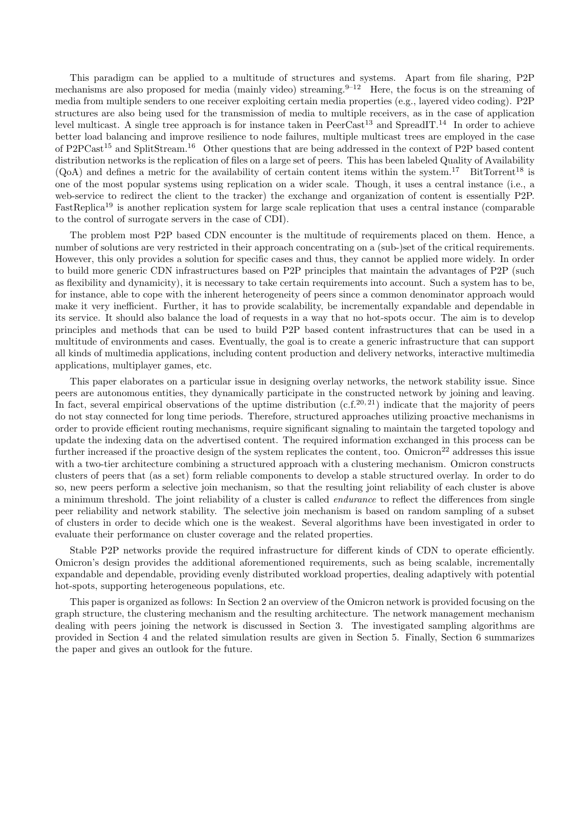This paradigm can be applied to a multitude of structures and systems. Apart from file sharing, P2P mechanisms are also proposed for media (mainly video) streaming. $9-12$  Here, the focus is on the streaming of media from multiple senders to one receiver exploiting certain media properties (e.g., layered video coding). P2P structures are also being used for the transmission of media to multiple receivers, as in the case of application level multicast. A single tree approach is for instance taken in  $PeerCost^{13}$  and SpreadIT.<sup>14</sup> In order to achieve better load balancing and improve resilience to node failures, multiple multicast trees are employed in the case of P2PCast<sup>15</sup> and SplitStream.<sup>16</sup> Other questions that are being addressed in the context of P2P based content distribution networks is the replication of files on a large set of peers. This has been labeled Quality of Availability  $(QoA)$  and defines a metric for the availability of certain content items within the system.<sup>17</sup> BitTorrent<sup>18</sup> is one of the most popular systems using replication on a wider scale. Though, it uses a central instance (i.e., a web-service to redirect the client to the tracker) the exchange and organization of content is essentially P2P. FastReplica<sup>19</sup> is another replication system for large scale replication that uses a central instance (comparable to the control of surrogate servers in the case of CDI).

The problem most P2P based CDN encounter is the multitude of requirements placed on them. Hence, a number of solutions are very restricted in their approach concentrating on a (sub-)set of the critical requirements. However, this only provides a solution for specific cases and thus, they cannot be applied more widely. In order to build more generic CDN infrastructures based on P2P principles that maintain the advantages of P2P (such as flexibility and dynamicity), it is necessary to take certain requirements into account. Such a system has to be, for instance, able to cope with the inherent heterogeneity of peers since a common denominator approach would make it very inefficient. Further, it has to provide scalability, be incrementally expandable and dependable in its service. It should also balance the load of requests in a way that no hot-spots occur. The aim is to develop principles and methods that can be used to build P2P based content infrastructures that can be used in a multitude of environments and cases. Eventually, the goal is to create a generic infrastructure that can support all kinds of multimedia applications, including content production and delivery networks, interactive multimedia applications, multiplayer games, etc.

This paper elaborates on a particular issue in designing overlay networks, the network stability issue. Since peers are autonomous entities, they dynamically participate in the constructed network by joining and leaving. In fact, several empirical observations of the uptime distribution  $(c.f.^{20, 21})$  indicate that the majority of peers do not stay connected for long time periods. Therefore, structured approaches utilizing proactive mechanisms in order to provide efficient routing mechanisms, require significant signaling to maintain the targeted topology and update the indexing data on the advertised content. The required information exchanged in this process can be further increased if the proactive design of the system replicates the content, too. Omicron<sup>22</sup> addresses this issue with a two-tier architecture combining a structured approach with a clustering mechanism. Omicron constructs clusters of peers that (as a set) form reliable components to develop a stable structured overlay. In order to do so, new peers perform a selective join mechanism, so that the resulting joint reliability of each cluster is above a minimum threshold. The joint reliability of a cluster is called endurance to reflect the differences from single peer reliability and network stability. The selective join mechanism is based on random sampling of a subset of clusters in order to decide which one is the weakest. Several algorithms have been investigated in order to evaluate their performance on cluster coverage and the related properties.

Stable P2P networks provide the required infrastructure for different kinds of CDN to operate efficiently. Omicron's design provides the additional aforementioned requirements, such as being scalable, incrementally expandable and dependable, providing evenly distributed workload properties, dealing adaptively with potential hot-spots, supporting heterogeneous populations, etc.

This paper is organized as follows: In Section 2 an overview of the Omicron network is provided focusing on the graph structure, the clustering mechanism and the resulting architecture. The network management mechanism dealing with peers joining the network is discussed in Section 3. The investigated sampling algorithms are provided in Section 4 and the related simulation results are given in Section 5. Finally, Section 6 summarizes the paper and gives an outlook for the future.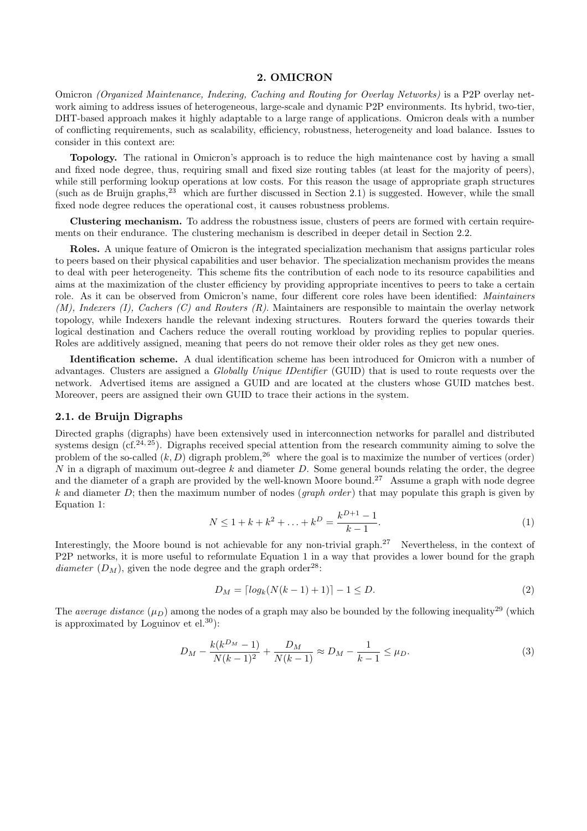## 2. OMICRON

Omicron (Organized Maintenance, Indexing, Caching and Routing for Overlay Networks) is a P2P overlay network aiming to address issues of heterogeneous, large-scale and dynamic P2P environments. Its hybrid, two-tier, DHT-based approach makes it highly adaptable to a large range of applications. Omicron deals with a number of conflicting requirements, such as scalability, efficiency, robustness, heterogeneity and load balance. Issues to consider in this context are:

Topology. The rational in Omicron's approach is to reduce the high maintenance cost by having a small and fixed node degree, thus, requiring small and fixed size routing tables (at least for the majority of peers), while still performing lookup operations at low costs. For this reason the usage of appropriate graph structures (such as de Bruijn graphs,  $23$  which are further discussed in Section 2.1) is suggested. However, while the small fixed node degree reduces the operational cost, it causes robustness problems.

Clustering mechanism. To address the robustness issue, clusters of peers are formed with certain requirements on their endurance. The clustering mechanism is described in deeper detail in Section 2.2.

Roles. A unique feature of Omicron is the integrated specialization mechanism that assigns particular roles to peers based on their physical capabilities and user behavior. The specialization mechanism provides the means to deal with peer heterogeneity. This scheme fits the contribution of each node to its resource capabilities and aims at the maximization of the cluster efficiency by providing appropriate incentives to peers to take a certain role. As it can be observed from Omicron's name, four different core roles have been identified: Maintainers (M), Indexers (I), Cachers (C) and Routers  $(R)$ . Maintainers are responsible to maintain the overlay network topology, while Indexers handle the relevant indexing structures. Routers forward the queries towards their logical destination and Cachers reduce the overall routing workload by providing replies to popular queries. Roles are additively assigned, meaning that peers do not remove their older roles as they get new ones.

Identification scheme. A dual identification scheme has been introduced for Omicron with a number of advantages. Clusters are assigned a Globally Unique IDentifier (GUID) that is used to route requests over the network. Advertised items are assigned a GUID and are located at the clusters whose GUID matches best. Moreover, peers are assigned their own GUID to trace their actions in the system.

#### 2.1. de Bruijn Digraphs

Directed graphs (digraphs) have been extensively used in interconnection networks for parallel and distributed systems design  $(cf.^{24}, ^{25})$ . Digraphs received special attention from the research community aiming to solve the problem of the so-called  $(k, D)$  digraph problem, <sup>26</sup> where the goal is to maximize the number of vertices (order) N in a digraph of maximum out-degree  $k$  and diameter  $D$ . Some general bounds relating the order, the degree and the diameter of a graph are provided by the well-known Moore bound.<sup>27</sup> Assume a graph with node degree k and diameter D; then the maximum number of nodes (graph order) that may populate this graph is given by Equation 1:

$$
N \le 1 + k + k^2 + \ldots + k^D = \frac{k^{D+1} - 1}{k - 1}.
$$
\n<sup>(1)</sup>

Interestingly, the Moore bound is not achievable for any non-trivial graph.<sup>27</sup> Nevertheless, in the context of P2P networks, it is more useful to reformulate Equation 1 in a way that provides a lower bound for the graph diameter  $(D_M)$ , given the node degree and the graph order<sup>28</sup>:

$$
D_M = \lceil \log_k(N(k-1)+1) \rceil - 1 \le D. \tag{2}
$$

The *average distance*  $(\mu_D)$  among the nodes of a graph may also be bounded by the following inequality<sup>29</sup> (which is approximated by Loguinov et  $el.^{30}$ :

$$
D_M - \frac{k(k^{D_M} - 1)}{N(k - 1)^2} + \frac{D_M}{N(k - 1)} \approx D_M - \frac{1}{k - 1} \le \mu_D.
$$
\n(3)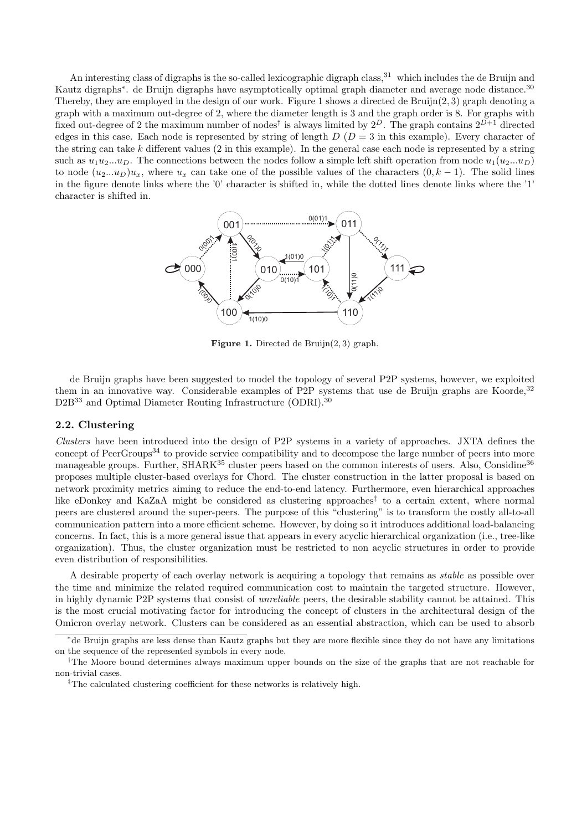An interesting class of digraphs is the so-called lexicographic digraph class,<sup>31</sup> which includes the de Bruijn and Kautz digraphs<sup>∗</sup>. de Bruijn digraphs have asymptotically optimal graph diameter and average node distance.<sup>30</sup> Thereby, they are employed in the design of our work. Figure 1 shows a directed de  $Bruijn(2,3)$  graph denoting a graph with a maximum out-degree of 2, where the diameter length is 3 and the graph order is 8. For graphs with fixed out-degree of 2 the maximum number of nodes<sup>†</sup> is always limited by  $2^D$ . The graph contains  $2^{D+1}$  directed edges in this case. Each node is represented by string of length  $D (D = 3$  in this example). Every character of the string can take k different values  $(2 \text{ in this example})$ . In the general case each node is represented by a string such as  $u_1u_2...u_D$ . The connections between the nodes follow a simple left shift operation from node  $u_1(u_2...u_D)$ to node  $(u_2...u_D)u_x$ , where  $u_x$  can take one of the possible values of the characters  $(0, k - 1)$ . The solid lines in the figure denote links where the '0' character is shifted in, while the dotted lines denote links where the '1' character is shifted in.



Figure 1. Directed de Bruijn(2, 3) graph.

de Bruijn graphs have been suggested to model the topology of several P2P systems, however, we exploited them in an innovative way. Considerable examples of P2P systems that use de Bruijn graphs are Koorde,  $32$ D2B<sup>33</sup> and Optimal Diameter Routing Infrastructure (ODRI).<sup>30</sup>

## 2.2. Clustering

Clusters have been introduced into the design of P2P systems in a variety of approaches. JXTA defines the concept of PeerGroups<sup>34</sup> to provide service compatibility and to decompose the large number of peers into more manageable groups. Further,  $SHARK^{35}$  cluster peers based on the common interests of users. Also, Considine<sup>36</sup> proposes multiple cluster-based overlays for Chord. The cluster construction in the latter proposal is based on network proximity metrics aiming to reduce the end-to-end latency. Furthermore, even hierarchical approaches like eDonkey and KaZaA might be considered as clustering approaches<sup> $‡ to a certain extent, where normal$ peers are clustered around the super-peers. The purpose of this "clustering" is to transform the costly all-to-all communication pattern into a more efficient scheme. However, by doing so it introduces additional load-balancing concerns. In fact, this is a more general issue that appears in every acyclic hierarchical organization (i.e., tree-like organization). Thus, the cluster organization must be restricted to non acyclic structures in order to provide even distribution of responsibilities.

A desirable property of each overlay network is acquiring a topology that remains as stable as possible over the time and minimize the related required communication cost to maintain the targeted structure. However, in highly dynamic P2P systems that consist of unreliable peers, the desirable stability cannot be attained. This is the most crucial motivating factor for introducing the concept of clusters in the architectural design of the Omicron overlay network. Clusters can be considered as an essential abstraction, which can be used to absorb

<sup>∗</sup>de Bruijn graphs are less dense than Kautz graphs but they are more flexible since they do not have any limitations on the sequence of the represented symbols in every node.

<sup>&</sup>lt;sup>†</sup>The Moore bound determines always maximum upper bounds on the size of the graphs that are not reachable for non-trivial cases.

<sup>‡</sup>The calculated clustering coefficient for these networks is relatively high.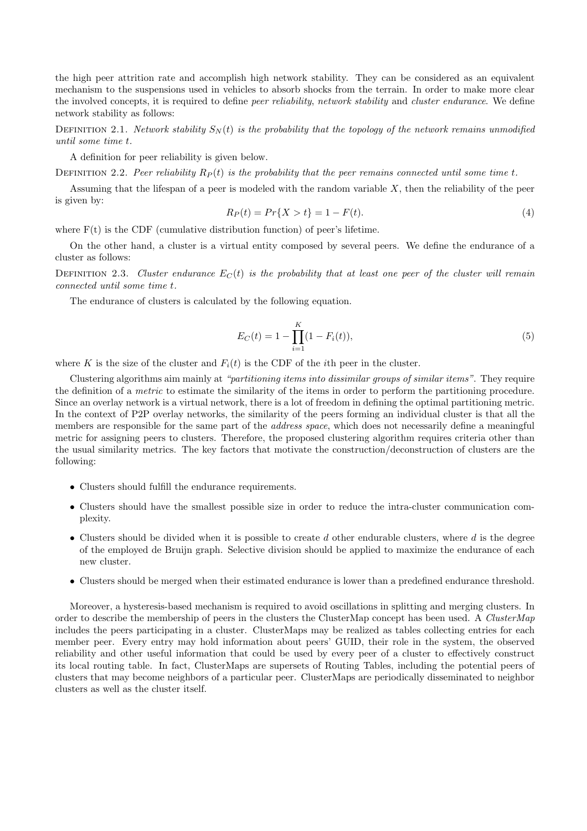the high peer attrition rate and accomplish high network stability. They can be considered as an equivalent mechanism to the suspensions used in vehicles to absorb shocks from the terrain. In order to make more clear the involved concepts, it is required to define *peer reliability, network stability* and *cluster endurance*. We define network stability as follows:

DEFINITION 2.1. Network stability  $S_N(t)$  is the probability that the topology of the network remains unmodified until some time t.

A definition for peer reliability is given below.

DEFINITION 2.2. Peer reliability  $R_P(t)$  is the probability that the peer remains connected until some time t.

Assuming that the lifespan of a peer is modeled with the random variable  $X$ , then the reliability of the peer is given by:

$$
R_P(t) = Pr\{X > t\} = 1 - F(t). \tag{4}
$$

where  $F(t)$  is the CDF (cumulative distribution function) of peer's lifetime.

On the other hand, a cluster is a virtual entity composed by several peers. We define the endurance of a cluster as follows:

DEFINITION 2.3. Cluster endurance  $E_C(t)$  is the probability that at least one peer of the cluster will remain connected until some time t.

The endurance of clusters is calculated by the following equation.

$$
E_C(t) = 1 - \prod_{i=1}^{K} (1 - F_i(t)),
$$
\n(5)

where K is the size of the cluster and  $F_i(t)$  is the CDF of the *i*th peer in the cluster.

Clustering algorithms aim mainly at "partitioning items into dissimilar groups of similar items". They require the definition of a metric to estimate the similarity of the items in order to perform the partitioning procedure. Since an overlay network is a virtual network, there is a lot of freedom in defining the optimal partitioning metric. In the context of P2P overlay networks, the similarity of the peers forming an individual cluster is that all the members are responsible for the same part of the *address space*, which does not necessarily define a meaningful metric for assigning peers to clusters. Therefore, the proposed clustering algorithm requires criteria other than the usual similarity metrics. The key factors that motivate the construction/deconstruction of clusters are the following:

- Clusters should fulfill the endurance requirements.
- Clusters should have the smallest possible size in order to reduce the intra-cluster communication complexity.
- Clusters should be divided when it is possible to create  $d$  other endurable clusters, where  $d$  is the degree of the employed de Bruijn graph. Selective division should be applied to maximize the endurance of each new cluster.
- Clusters should be merged when their estimated endurance is lower than a predefined endurance threshold.

Moreover, a hysteresis-based mechanism is required to avoid oscillations in splitting and merging clusters. In order to describe the membership of peers in the clusters the ClusterMap concept has been used. A ClusterMap includes the peers participating in a cluster. ClusterMaps may be realized as tables collecting entries for each member peer. Every entry may hold information about peers' GUID, their role in the system, the observed reliability and other useful information that could be used by every peer of a cluster to effectively construct its local routing table. In fact, ClusterMaps are supersets of Routing Tables, including the potential peers of clusters that may become neighbors of a particular peer. ClusterMaps are periodically disseminated to neighbor clusters as well as the cluster itself.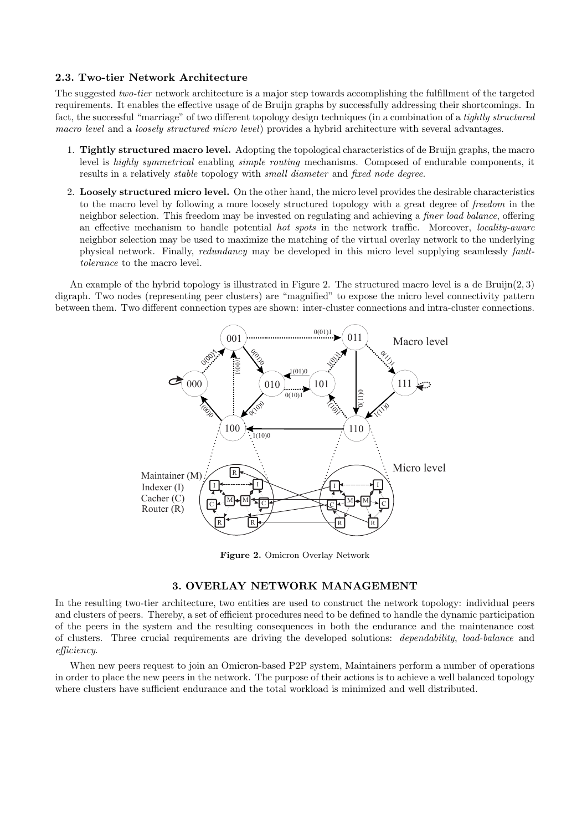## 2.3. Two-tier Network Architecture

The suggested two-tier network architecture is a major step towards accomplishing the fulfillment of the targeted requirements. It enables the effective usage of de Bruijn graphs by successfully addressing their shortcomings. In fact, the successful "marriage" of two different topology design techniques (in a combination of a tightly structured macro level and a loosely structured micro level) provides a hybrid architecture with several advantages.

- 1. Tightly structured macro level. Adopting the topological characteristics of de Bruijn graphs, the macro level is highly symmetrical enabling simple routing mechanisms. Composed of endurable components, it results in a relatively stable topology with small diameter and fixed node degree.
- 2. Loosely structured micro level. On the other hand, the micro level provides the desirable characteristics to the macro level by following a more loosely structured topology with a great degree of freedom in the neighbor selection. This freedom may be invested on regulating and achieving a finer load balance, offering an effective mechanism to handle potential *hot spots* in the network traffic. Moreover, *locality-aware* neighbor selection may be used to maximize the matching of the virtual overlay network to the underlying physical network. Finally, redundancy may be developed in this micro level supplying seamlessly faulttolerance to the macro level.

An example of the hybrid topology is illustrated in Figure 2. The structured macro level is a de Bruijn $(2, 3)$ digraph. Two nodes (representing peer clusters) are "magnified" to expose the micro level connectivity pattern between them. Two different connection types are shown: inter-cluster connections and intra-cluster connections.



Figure 2. Omicron Overlay Network

## 3. OVERLAY NETWORK MANAGEMENT

In the resulting two-tier architecture, two entities are used to construct the network topology: individual peers and clusters of peers. Thereby, a set of efficient procedures need to be defined to handle the dynamic participation of the peers in the system and the resulting consequences in both the endurance and the maintenance cost of clusters. Three crucial requirements are driving the developed solutions: dependability, load-balance and efficiency.

When new peers request to join an Omicron-based P2P system, Maintainers perform a number of operations in order to place the new peers in the network. The purpose of their actions is to achieve a well balanced topology where clusters have sufficient endurance and the total workload is minimized and well distributed.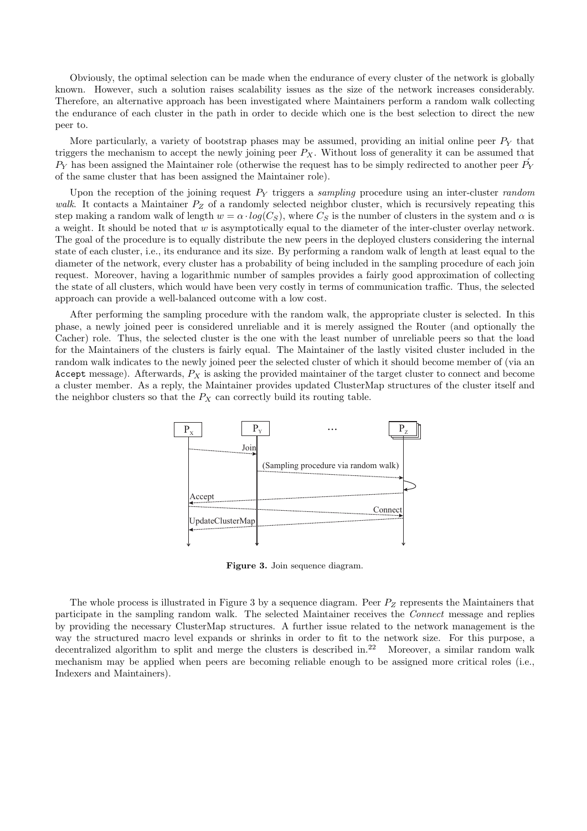Obviously, the optimal selection can be made when the endurance of every cluster of the network is globally known. However, such a solution raises scalability issues as the size of the network increases considerably. Therefore, an alternative approach has been investigated where Maintainers perform a random walk collecting the endurance of each cluster in the path in order to decide which one is the best selection to direct the new peer to.

More particularly, a variety of bootstrap phases may be assumed, providing an initial online peer  $P<sub>Y</sub>$  that triggers the mechanism to accept the newly joining peer  $P_X$ . Without loss of generality it can be assumed that  $P_Y$  has been assigned the Maintainer role (otherwise the request has to be simply redirected to another peer  $P'_Y$ of the same cluster that has been assigned the Maintainer role).

Upon the reception of the joining request  $P<sub>Y</sub>$  triggers a sampling procedure using an inter-cluster random walk. It contacts a Maintainer  $P_Z$  of a randomly selected neighbor cluster, which is recursively repeating this step making a random walk of length  $w = \alpha \cdot log(C_S)$ , where  $C_S$  is the number of clusters in the system and  $\alpha$  is a weight. It should be noted that  $w$  is asymptotically equal to the diameter of the inter-cluster overlay network. The goal of the procedure is to equally distribute the new peers in the deployed clusters considering the internal state of each cluster, i.e., its endurance and its size. By performing a random walk of length at least equal to the diameter of the network, every cluster has a probability of being included in the sampling procedure of each join request. Moreover, having a logarithmic number of samples provides a fairly good approximation of collecting the state of all clusters, which would have been very costly in terms of communication traffic. Thus, the selected approach can provide a well-balanced outcome with a low cost.

After performing the sampling procedure with the random walk, the appropriate cluster is selected. In this phase, a newly joined peer is considered unreliable and it is merely assigned the Router (and optionally the Cacher) role. Thus, the selected cluster is the one with the least number of unreliable peers so that the load for the Maintainers of the clusters is fairly equal. The Maintainer of the lastly visited cluster included in the random walk indicates to the newly joined peer the selected cluster of which it should become member of (via an Accept message). Afterwards,  $P_X$  is asking the provided maintainer of the target cluster to connect and become a cluster member. As a reply, the Maintainer provides updated ClusterMap structures of the cluster itself and the neighbor clusters so that the  $P_X$  can correctly build its routing table.



Figure 3. Join sequence diagram.

The whole process is illustrated in Figure 3 by a sequence diagram. Peer  $P_Z$  represents the Maintainers that participate in the sampling random walk. The selected Maintainer receives the Connect message and replies by providing the necessary ClusterMap structures. A further issue related to the network management is the way the structured macro level expands or shrinks in order to fit to the network size. For this purpose, a decentralized algorithm to split and merge the clusters is described in.<sup>22</sup> Moreover, a similar random walk mechanism may be applied when peers are becoming reliable enough to be assigned more critical roles (i.e., Indexers and Maintainers).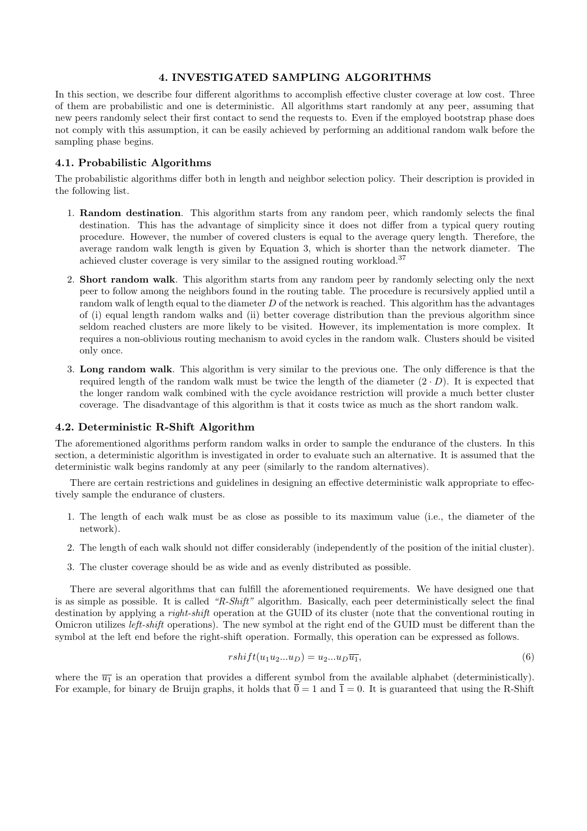## 4. INVESTIGATED SAMPLING ALGORITHMS

In this section, we describe four different algorithms to accomplish effective cluster coverage at low cost. Three of them are probabilistic and one is deterministic. All algorithms start randomly at any peer, assuming that new peers randomly select their first contact to send the requests to. Even if the employed bootstrap phase does not comply with this assumption, it can be easily achieved by performing an additional random walk before the sampling phase begins.

## 4.1. Probabilistic Algorithms

The probabilistic algorithms differ both in length and neighbor selection policy. Their description is provided in the following list.

- 1. Random destination. This algorithm starts from any random peer, which randomly selects the final destination. This has the advantage of simplicity since it does not differ from a typical query routing procedure. However, the number of covered clusters is equal to the average query length. Therefore, the average random walk length is given by Equation 3, which is shorter than the network diameter. The achieved cluster coverage is very similar to the assigned routing workload.<sup>37</sup>
- 2. Short random walk. This algorithm starts from any random peer by randomly selecting only the next peer to follow among the neighbors found in the routing table. The procedure is recursively applied until a random walk of length equal to the diameter  $D$  of the network is reached. This algorithm has the advantages of (i) equal length random walks and (ii) better coverage distribution than the previous algorithm since seldom reached clusters are more likely to be visited. However, its implementation is more complex. It requires a non-oblivious routing mechanism to avoid cycles in the random walk. Clusters should be visited only once.
- 3. Long random walk. This algorithm is very similar to the previous one. The only difference is that the required length of the random walk must be twice the length of the diameter  $(2 \cdot D)$ . It is expected that the longer random walk combined with the cycle avoidance restriction will provide a much better cluster coverage. The disadvantage of this algorithm is that it costs twice as much as the short random walk.

## 4.2. Deterministic R-Shift Algorithm

The aforementioned algorithms perform random walks in order to sample the endurance of the clusters. In this section, a deterministic algorithm is investigated in order to evaluate such an alternative. It is assumed that the deterministic walk begins randomly at any peer (similarly to the random alternatives).

There are certain restrictions and guidelines in designing an effective deterministic walk appropriate to effectively sample the endurance of clusters.

- 1. The length of each walk must be as close as possible to its maximum value (i.e., the diameter of the network).
- 2. The length of each walk should not differ considerably (independently of the position of the initial cluster).
- 3. The cluster coverage should be as wide and as evenly distributed as possible.

There are several algorithms that can fulfill the aforementioned requirements. We have designed one that is as simple as possible. It is called "R-Shift" algorithm. Basically, each peer deterministically select the final destination by applying a *right-shift* operation at the GUID of its cluster (note that the conventional routing in Omicron utilizes left-shift operations). The new symbol at the right end of the GUID must be different than the symbol at the left end before the right-shift operation. Formally, this operation can be expressed as follows.

$$
rshift(u_1u_2...u_D) = u_2...u_D\overline{u_1},\tag{6}
$$

where the  $\overline{u_1}$  is an operation that provides a different symbol from the available alphabet (deterministically). For example, for binary de Bruijn graphs, it holds that  $\overline{0} = 1$  and  $\overline{1} = 0$ . It is guaranteed that using the R-Shift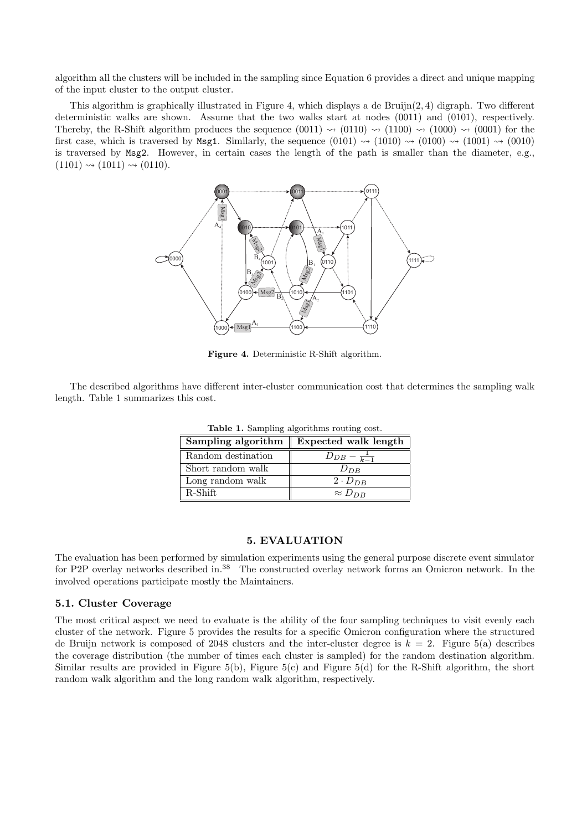algorithm all the clusters will be included in the sampling since Equation 6 provides a direct and unique mapping of the input cluster to the output cluster.

This algorithm is graphically illustrated in Figure 4, which displays a de Bruijn(2, 4) digraph. Two different deterministic walks are shown. Assume that the two walks start at nodes (0011) and (0101), respectively. Thereby, the R-Shift algorithm produces the sequence  $(0011) \rightsquigarrow (0110) \rightsquigarrow (1100) \rightsquigarrow (1000) \rightsquigarrow (0001)$  for the first case, which is traversed by Msg1. Similarly, the sequence  $(0101) \rightsquigarrow (1010) \rightsquigarrow (1000) \rightsquigarrow (1001) \rightsquigarrow (0010)$ is traversed by Msg2. However, in certain cases the length of the path is smaller than the diameter, e.g.,  $(1101) \rightsquigarrow (1011) \rightsquigarrow (0110).$ 



Figure 4. Deterministic R-Shift algorithm.

The described algorithms have different inter-cluster communication cost that determines the sampling walk length. Table 1 summarizes this cost.

| <b>rapic 1.</b> Dailiphing algorithms routing cost. |                          |
|-----------------------------------------------------|--------------------------|
| Sampling algorithm $\parallel$                      | Expected walk length     |
| Random destination                                  | $D_{DB} - \frac{1}{k-1}$ |
| Short random walk                                   | $D_{DB}$                 |
| Long random walk                                    | $2 \cdot D_{DR}$         |
| R-Shift                                             | $\approx D_{DB}$         |

Table 1. Sampling algorithms routing cost.

## 5. EVALUATION

The evaluation has been performed by simulation experiments using the general purpose discrete event simulator for P2P overlay networks described in.<sup>38</sup> The constructed overlay network forms an Omicron network. In the involved operations participate mostly the Maintainers.

#### 5.1. Cluster Coverage

The most critical aspect we need to evaluate is the ability of the four sampling techniques to visit evenly each cluster of the network. Figure 5 provides the results for a specific Omicron configuration where the structured de Bruijn network is composed of 2048 clusters and the inter-cluster degree is  $k = 2$ . Figure 5(a) describes the coverage distribution (the number of times each cluster is sampled) for the random destination algorithm. Similar results are provided in Figure 5(b), Figure 5(c) and Figure 5(d) for the R-Shift algorithm, the short random walk algorithm and the long random walk algorithm, respectively.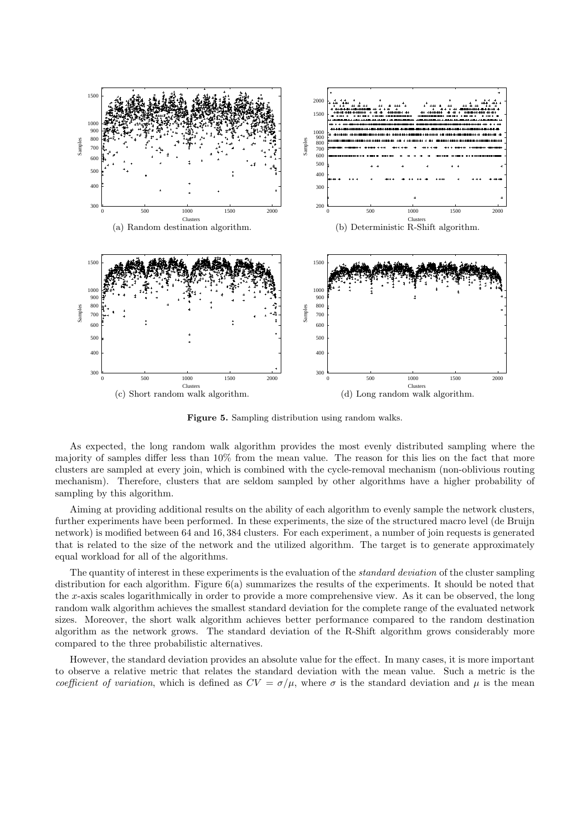

Figure 5. Sampling distribution using random walks.

As expected, the long random walk algorithm provides the most evenly distributed sampling where the majority of samples differ less than 10% from the mean value. The reason for this lies on the fact that more clusters are sampled at every join, which is combined with the cycle-removal mechanism (non-oblivious routing mechanism). Therefore, clusters that are seldom sampled by other algorithms have a higher probability of sampling by this algorithm.

Aiming at providing additional results on the ability of each algorithm to evenly sample the network clusters, further experiments have been performed. In these experiments, the size of the structured macro level (de Bruijn network) is modified between 64 and 16, 384 clusters. For each experiment, a number of join requests is generated that is related to the size of the network and the utilized algorithm. The target is to generate approximately equal workload for all of the algorithms.

The quantity of interest in these experiments is the evaluation of the *standard deviation* of the cluster sampling distribution for each algorithm. Figure 6(a) summarizes the results of the experiments. It should be noted that the x-axis scales logarithmically in order to provide a more comprehensive view. As it can be observed, the long random walk algorithm achieves the smallest standard deviation for the complete range of the evaluated network sizes. Moreover, the short walk algorithm achieves better performance compared to the random destination algorithm as the network grows. The standard deviation of the R-Shift algorithm grows considerably more compared to the three probabilistic alternatives.

However, the standard deviation provides an absolute value for the effect. In many cases, it is more important to observe a relative metric that relates the standard deviation with the mean value. Such a metric is the coefficient of variation, which is defined as  $CV = \sigma/\mu$ , where  $\sigma$  is the standard deviation and  $\mu$  is the mean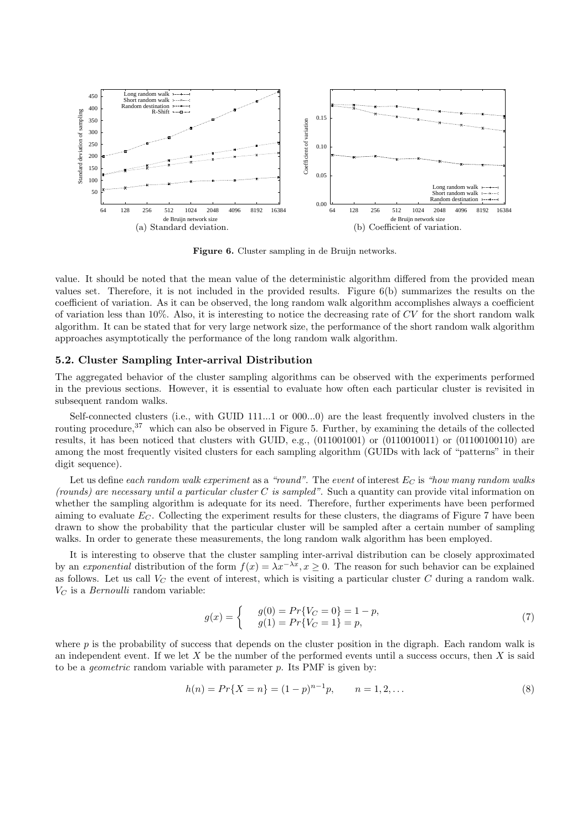

Figure 6. Cluster sampling in de Bruijn networks.

value. It should be noted that the mean value of the deterministic algorithm differed from the provided mean values set. Therefore, it is not included in the provided results. Figure 6(b) summarizes the results on the coefficient of variation. As it can be observed, the long random walk algorithm accomplishes always a coefficient of variation less than  $10\%$ . Also, it is interesting to notice the decreasing rate of CV for the short random walk algorithm. It can be stated that for very large network size, the performance of the short random walk algorithm approaches asymptotically the performance of the long random walk algorithm.

## 5.2. Cluster Sampling Inter-arrival Distribution

The aggregated behavior of the cluster sampling algorithms can be observed with the experiments performed in the previous sections. However, it is essential to evaluate how often each particular cluster is revisited in subsequent random walks.

Self-connected clusters (i.e., with GUID 111...1 or 000...0) are the least frequently involved clusters in the routing procedure,<sup>37</sup> which can also be observed in Figure 5. Further, by examining the details of the collected results, it has been noticed that clusters with GUID, e.g., (011001001) or (0110010011) or (01100100110) are among the most frequently visited clusters for each sampling algorithm (GUIDs with lack of "patterns" in their digit sequence).

Let us define each random walk experiment as a "round". The event of interest  $E_C$  is "how many random walks (rounds) are necessary until a particular cluster  $C$  is sampled". Such a quantity can provide vital information on whether the sampling algorithm is adequate for its need. Therefore, further experiments have been performed aiming to evaluate  $E_C$ . Collecting the experiment results for these clusters, the diagrams of Figure 7 have been drawn to show the probability that the particular cluster will be sampled after a certain number of sampling walks. In order to generate these measurements, the long random walk algorithm has been employed.

It is interesting to observe that the cluster sampling inter-arrival distribution can be closely approximated by an exponential distribution of the form  $f(x) = \lambda x^{-\lambda x}$ ,  $x \ge 0$ . The reason for such behavior can be explained as follows. Let us call  $V_C$  the event of interest, which is visiting a particular cluster  $C$  during a random walk.  $V_C$  is a *Bernoulli* random variable:

$$
g(x) = \begin{cases} g(0) = Pr\{V_C = 0\} = 1 - p, \\ g(1) = Pr\{V_C = 1\} = p, \end{cases}
$$
\n(7)

where  $p$  is the probability of success that depends on the cluster position in the digraph. Each random walk is an independent event. If we let X be the number of the performed events until a success occurs, then X is said to be a *geometric* random variable with parameter p. Its PMF is given by:

$$
h(n) = Pr\{X = n\} = (1 - p)^{n-1}p, \qquad n = 1, 2, \dots
$$
\n(8)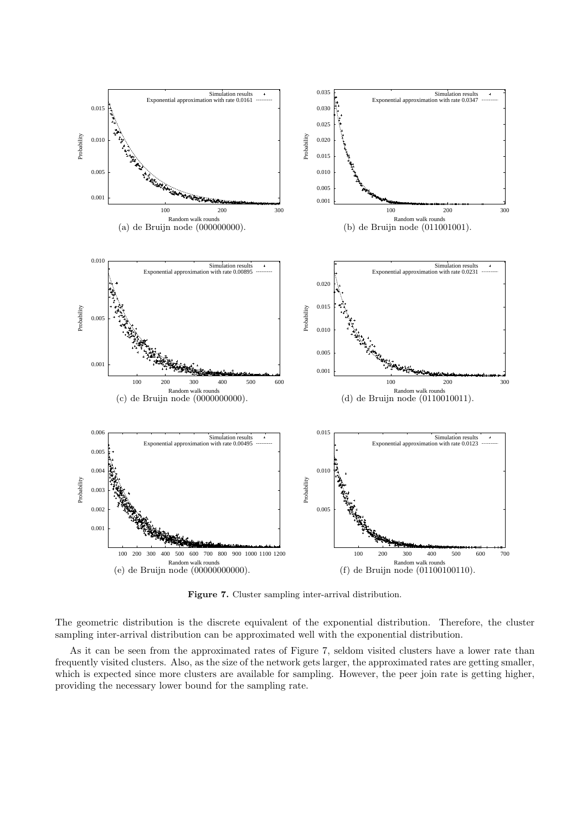

Figure 7. Cluster sampling inter-arrival distribution.

The geometric distribution is the discrete equivalent of the exponential distribution. Therefore, the cluster sampling inter-arrival distribution can be approximated well with the exponential distribution.

As it can be seen from the approximated rates of Figure 7, seldom visited clusters have a lower rate than frequently visited clusters. Also, as the size of the network gets larger, the approximated rates are getting smaller, which is expected since more clusters are available for sampling. However, the peer join rate is getting higher, providing the necessary lower bound for the sampling rate.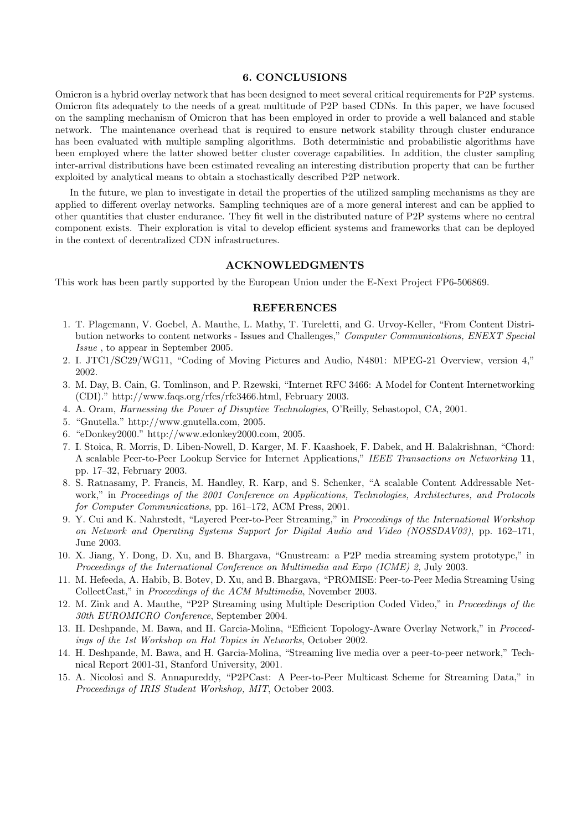## 6. CONCLUSIONS

Omicron is a hybrid overlay network that has been designed to meet several critical requirements for P2P systems. Omicron fits adequately to the needs of a great multitude of P2P based CDNs. In this paper, we have focused on the sampling mechanism of Omicron that has been employed in order to provide a well balanced and stable network. The maintenance overhead that is required to ensure network stability through cluster endurance has been evaluated with multiple sampling algorithms. Both deterministic and probabilistic algorithms have been employed where the latter showed better cluster coverage capabilities. In addition, the cluster sampling inter-arrival distributions have been estimated revealing an interesting distribution property that can be further exploited by analytical means to obtain a stochastically described P2P network.

In the future, we plan to investigate in detail the properties of the utilized sampling mechanisms as they are applied to different overlay networks. Sampling techniques are of a more general interest and can be applied to other quantities that cluster endurance. They fit well in the distributed nature of P2P systems where no central component exists. Their exploration is vital to develop efficient systems and frameworks that can be deployed in the context of decentralized CDN infrastructures.

## ACKNOWLEDGMENTS

This work has been partly supported by the European Union under the E-Next Project FP6-506869.

#### REFERENCES

- 1. T. Plagemann, V. Goebel, A. Mauthe, L. Mathy, T. Tureletti, and G. Urvoy-Keller, "From Content Distribution networks to content networks - Issues and Challenges," Computer Communications, ENEXT Special Issue , to appear in September 2005.
- 2. I. JTC1/SC29/WG11, "Coding of Moving Pictures and Audio, N4801: MPEG-21 Overview, version 4," 2002.
- 3. M. Day, B. Cain, G. Tomlinson, and P. Rzewski, "Internet RFC 3466: A Model for Content Internetworking (CDI)." http://www.faqs.org/rfcs/rfc3466.html, February 2003.
- 4. A. Oram, Harnessing the Power of Disuptive Technologies, O'Reilly, Sebastopol, CA, 2001.
- 5. "Gnutella." http://www.gnutella.com, 2005.
- 6. "eDonkey2000." http://www.edonkey2000.com, 2005.
- 7. I. Stoica, R. Morris, D. Liben-Nowell, D. Karger, M. F. Kaashoek, F. Dabek, and H. Balakrishnan, "Chord: A scalable Peer-to-Peer Lookup Service for Internet Applications," IEEE Transactions on Networking 11, pp. 17–32, February 2003.
- 8. S. Ratnasamy, P. Francis, M. Handley, R. Karp, and S. Schenker, "A scalable Content Addressable Network," in Proceedings of the 2001 Conference on Applications, Technologies, Architectures, and Protocols for Computer Communications, pp. 161–172, ACM Press, 2001.
- 9. Y. Cui and K. Nahrstedt, "Layered Peer-to-Peer Streaming," in Proceedings of the International Workshop on Network and Operating Systems Support for Digital Audio and Video (NOSSDAV03), pp. 162–171, June 2003.
- 10. X. Jiang, Y. Dong, D. Xu, and B. Bhargava, "Gnustream: a P2P media streaming system prototype," in Proceedings of the International Conference on Multimedia and Expo (ICME) 2, July 2003.
- 11. M. Hefeeda, A. Habib, B. Botev, D. Xu, and B. Bhargava, "PROMISE: Peer-to-Peer Media Streaming Using CollectCast," in Proceedings of the ACM Multimedia, November 2003.
- 12. M. Zink and A. Mauthe, "P2P Streaming using Multiple Description Coded Video," in Proceedings of the 30th EUROMICRO Conference, September 2004.
- 13. H. Deshpande, M. Bawa, and H. Garcia-Molina, "Efficient Topology-Aware Overlay Network," in Proceedings of the 1st Workshop on Hot Topics in Networks, October 2002.
- 14. H. Deshpande, M. Bawa, and H. Garcia-Molina, "Streaming live media over a peer-to-peer network," Technical Report 2001-31, Stanford University, 2001.
- 15. A. Nicolosi and S. Annapureddy, "P2PCast: A Peer-to-Peer Multicast Scheme for Streaming Data," in Proceedings of IRIS Student Workshop, MIT, October 2003.